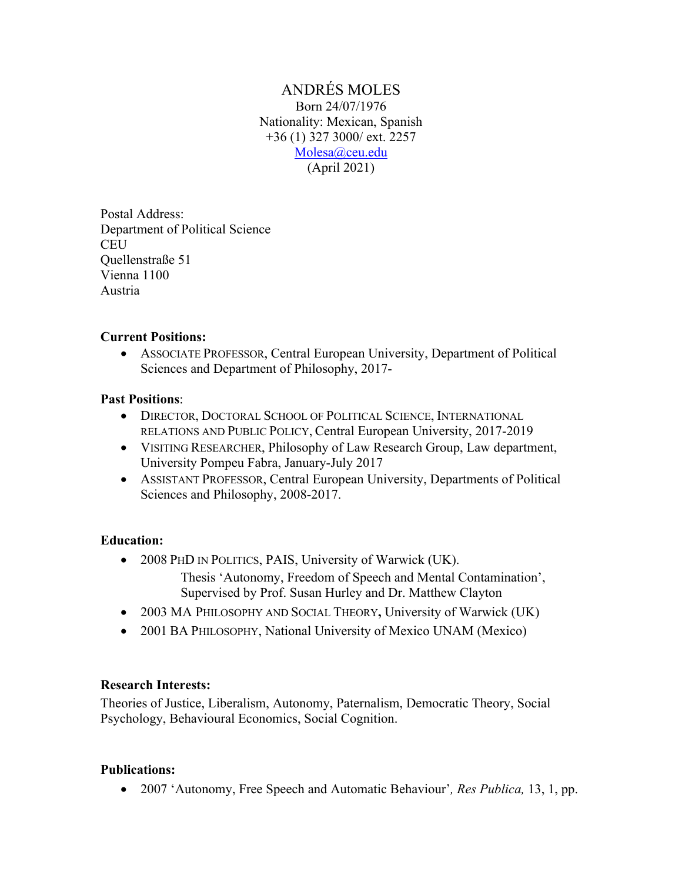ANDRÉS MOLES Born 24/07/1976 Nationality: Mexican, Spanish +36 (1) 327 3000/ ext. 2257 Molesa@ceu.edu (April 2021)

Postal Address: Department of Political Science **CEU** Quellenstraße 51 Vienna 1100 Austria

#### **Current Positions:**

• ASSOCIATE PROFESSOR, Central European University, Department of Political Sciences and Department of Philosophy, 2017-

#### **Past Positions**:

- DIRECTOR, DOCTORAL SCHOOL OF POLITICAL SCIENCE, INTERNATIONAL RELATIONS AND PUBLIC POLICY, Central European University, 2017-2019
- VISITING RESEARCHER, Philosophy of Law Research Group, Law department, University Pompeu Fabra, January-July 2017
- ASSISTANT PROFESSOR, Central European University, Departments of Political Sciences and Philosophy, 2008-2017.

#### **Education:**

• 2008 PHD IN POLITICS, PAIS, University of Warwick (UK).

Thesis 'Autonomy, Freedom of Speech and Mental Contamination', Supervised by Prof. Susan Hurley and Dr. Matthew Clayton

- 2003 MA PHILOSOPHY AND SOCIAL THEORY, University of Warwick (UK)
- 2001 BA PHILOSOPHY, National University of Mexico UNAM (Mexico)

#### **Research Interests:**

Theories of Justice, Liberalism, Autonomy, Paternalism, Democratic Theory, Social Psychology, Behavioural Economics, Social Cognition.

#### **Publications:**

• 2007 'Autonomy, Free Speech and Automatic Behaviour'*, Res Publica,* 13, 1, pp.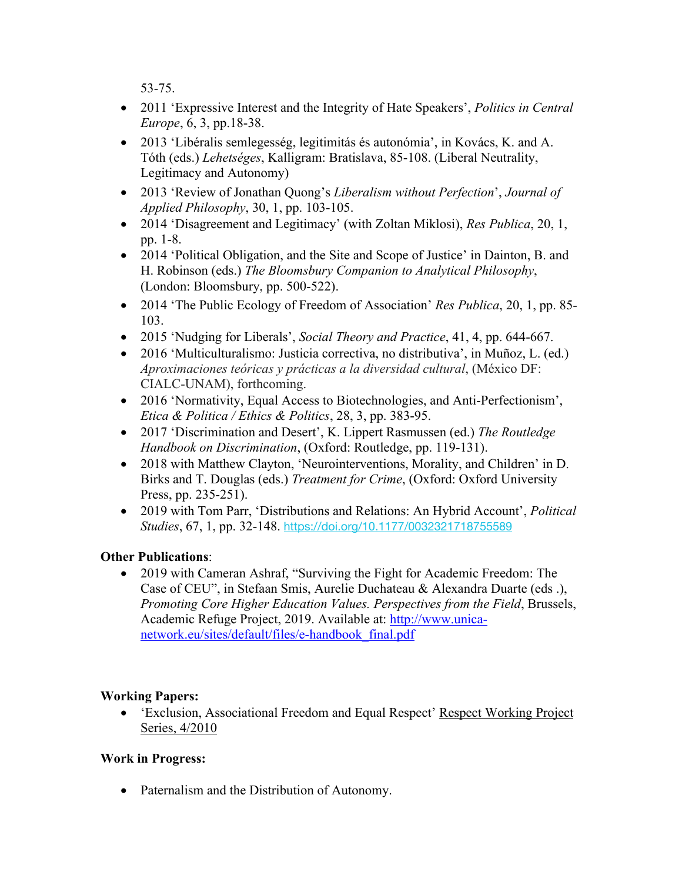53-75.

- 2011 'Expressive Interest and the Integrity of Hate Speakers', *Politics in Central Europe*, 6, 3, pp.18-38.
- 2013 'Libéralis semlegesség, legitimitás és autonómia', in Kovács, K. and A. Tóth (eds.) *Lehetséges*, Kalligram: Bratislava, 85-108. (Liberal Neutrality, Legitimacy and Autonomy)
- 2013 'Review of Jonathan Quong's *Liberalism without Perfection*', *Journal of Applied Philosophy*, 30, 1, pp. 103-105.
- 2014 'Disagreement and Legitimacy' (with Zoltan Miklosi), *Res Publica*, 20, 1, pp. 1-8.
- 2014 'Political Obligation, and the Site and Scope of Justice' in Dainton, B. and H. Robinson (eds.) *The Bloomsbury Companion to Analytical Philosophy*, (London: Bloomsbury, pp. 500-522).
- 2014 'The Public Ecology of Freedom of Association' *Res Publica*, 20, 1, pp. 85- 103.
- 2015 'Nudging for Liberals', *Social Theory and Practice*, 41, 4, pp. 644-667.
- 2016 'Multiculturalismo: Justicia correctiva, no distributiva', in Muñoz, L. (ed.) *Aproximaciones teóricas y prácticas a la diversidad cultural*, (México DF: CIALC-UNAM), forthcoming.
- 2016 'Normativity, Equal Access to Biotechnologies, and Anti-Perfectionism', *Etica & Politica / Ethics & Politics*, 28, 3, pp. 383-95.
- 2017 'Discrimination and Desert', K. Lippert Rasmussen (ed.) *The Routledge Handbook on Discrimination*, (Oxford: Routledge, pp. 119-131).
- 2018 with Matthew Clayton, 'Neurointerventions, Morality, and Children' in D. Birks and T. Douglas (eds.) *Treatment for Crime*, (Oxford: Oxford University Press, pp. 235-251).
- 2019 with Tom Parr, 'Distributions and Relations: An Hybrid Account', *Political Studies*, 67, 1, pp. 32-148. https://doi.org/10.1177/0032321718755589

# **Other Publications**:

• 2019 with Cameran Ashraf, "Surviving the Fight for Academic Freedom: The Case of CEU", in Stefaan Smis, Aurelie Duchateau & Alexandra Duarte (eds .), *Promoting Core Higher Education Values. Perspectives from the Field*, Brussels, Academic Refuge Project, 2019. Available at: http://www.unicanetwork.eu/sites/default/files/e-handbook\_final.pdf

## **Working Papers:**

• 'Exclusion, Associational Freedom and Equal Respect' Respect Working Project Series, 4/2010

## **Work in Progress:**

• Paternalism and the Distribution of Autonomy.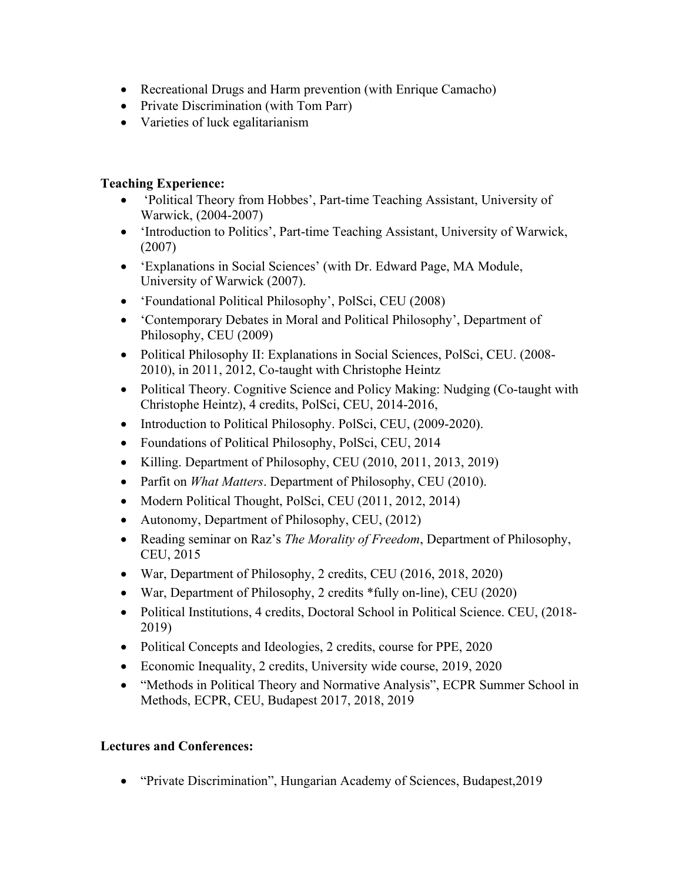- Recreational Drugs and Harm prevention (with Enrique Camacho)
- Private Discrimination (with Tom Parr)
- Varieties of luck egalitarianism

### **Teaching Experience:**

- 'Political Theory from Hobbes', Part-time Teaching Assistant, University of Warwick, (2004-2007)
- 'Introduction to Politics', Part-time Teaching Assistant, University of Warwick, (2007)
- 'Explanations in Social Sciences' (with Dr. Edward Page, MA Module, University of Warwick (2007).
- 'Foundational Political Philosophy', PolSci, CEU (2008)
- 'Contemporary Debates in Moral and Political Philosophy', Department of Philosophy, CEU (2009)
- Political Philosophy II: Explanations in Social Sciences, PolSci, CEU. (2008-2010), in 2011, 2012, Co-taught with Christophe Heintz
- Political Theory. Cognitive Science and Policy Making: Nudging (Co-taught with Christophe Heintz), 4 credits, PolSci, CEU, 2014-2016,
- Introduction to Political Philosophy. PolSci, CEU, (2009-2020).
- Foundations of Political Philosophy, PolSci, CEU, 2014
- Killing. Department of Philosophy, CEU (2010, 2011, 2013, 2019)
- Parfit on *What Matters*. Department of Philosophy, CEU (2010).
- Modern Political Thought, PolSci, CEU (2011, 2012, 2014)
- Autonomy, Department of Philosophy, CEU, (2012)
- Reading seminar on Raz's *The Morality of Freedom*, Department of Philosophy, CEU, 2015
- War, Department of Philosophy, 2 credits, CEU (2016, 2018, 2020)
- War, Department of Philosophy, 2 credits \*fully on-line), CEU (2020)
- Political Institutions, 4 credits, Doctoral School in Political Science. CEU, (2018-2019)
- Political Concepts and Ideologies, 2 credits, course for PPE, 2020
- Economic Inequality, 2 credits, University wide course, 2019, 2020
- "Methods in Political Theory and Normative Analysis", ECPR Summer School in Methods, ECPR, CEU, Budapest 2017, 2018, 2019

## **Lectures and Conferences:**

• "Private Discrimination", Hungarian Academy of Sciences, Budapest,2019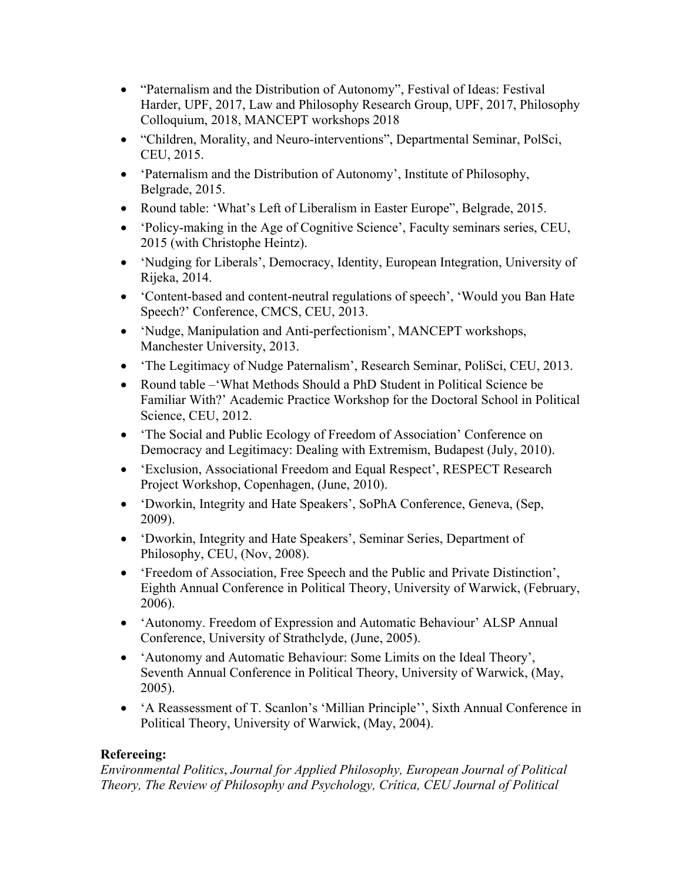- "Paternalism and the Distribution of Autonomy", Festival of Ideas: Festival Harder, UPF, 2017, Law and Philosophy Research Group, UPF, 2017, Philosophy Colloquium, 2018, MANCEPT workshops 2018
- "Children, Morality, and Neuro-interventions", Departmental Seminar, PolSci, CEU, 2015.
- 'Paternalism and the Distribution of Autonomy', Institute of Philosophy, Belgrade, 2015.
- Round table: 'What's Left of Liberalism in Easter Europe'', Belgrade, 2015.
- 'Policy-making in the Age of Cognitive Science', Faculty seminars series, CEU, 2015 (with Christophe Heintz).
- 'Nudging for Liberals', Democracy, Identity, European Integration, University of Rijeka, 2014.
- 'Content-based and content-neutral regulations of speech', 'Would you Ban Hate Speech?' Conference, CMCS, CEU, 2013.
- 'Nudge, Manipulation and Anti-perfectionism', MANCEPT workshops, Manchester University, 2013.
- The Legitimacy of Nudge Paternalism', Research Seminar, PoliSci, CEU, 2013.
- Round table –'What Methods Should a PhD Student in Political Science be Familiar With?' Academic Practice Workshop for the Doctoral School in Political Science, CEU, 2012.
- 'The Social and Public Ecology of Freedom of Association' Conference on Democracy and Legitimacy: Dealing with Extremism, Budapest (July, 2010).
- 'Exclusion, Associational Freedom and Equal Respect', RESPECT Research Project Workshop, Copenhagen, (June, 2010).
- 'Dworkin, Integrity and Hate Speakers', SoPhA Conference, Geneva, (Sep, 2009).
- 'Dworkin, Integrity and Hate Speakers', Seminar Series, Department of Philosophy, CEU, (Nov, 2008).
- 'Freedom of Association, Free Speech and the Public and Private Distinction', Eighth Annual Conference in Political Theory, University of Warwick, (February, 2006).
- 'Autonomy. Freedom of Expression and Automatic Behaviour' ALSP Annual Conference, University of Strathclyde, (June, 2005).
- 'Autonomy and Automatic Behaviour: Some Limits on the Ideal Theory', Seventh Annual Conference in Political Theory, University of Warwick, (May, 2005).
- 'A Reassessment of T. Scanlon's 'Millian Principle'', Sixth Annual Conference in Political Theory, University of Warwick, (May, 2004).

#### **Refereeing:**

*Environmental Politics*, *Journal for Applied Philosophy, European Journal of Political Theory, The Review of Philosophy and Psychology, Crítica, CEU Journal of Political*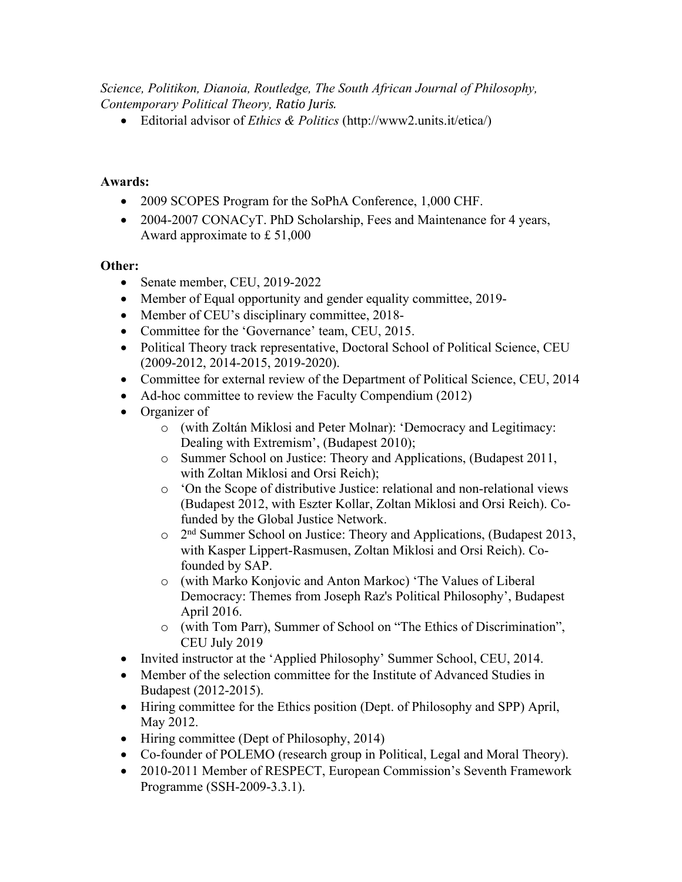*Science, Politikon, Dianoia, Routledge, The South African Journal of Philosophy, Contemporary Political Theory, Ratio Juris.*

• Editorial advisor of *Ethics & Politics* (http://www2.units.it/etica/)

### **Awards:**

- 2009 SCOPES Program for the SoPhA Conference, 1,000 CHF.
- 2004-2007 CONACyT. PhD Scholarship, Fees and Maintenance for 4 years, Award approximate to £ 51,000

### **Other:**

- Senate member, CEU, 2019-2022
- Member of Equal opportunity and gender equality committee, 2019-
- Member of CEU's disciplinary committee, 2018-
- Committee for the 'Governance' team, CEU, 2015.
- Political Theory track representative, Doctoral School of Political Science, CEU (2009-2012, 2014-2015, 2019-2020).
- Committee for external review of the Department of Political Science, CEU, 2014
- Ad-hoc committee to review the Faculty Compendium (2012)
- Organizer of
	- o (with Zoltán Miklosi and Peter Molnar): 'Democracy and Legitimacy: Dealing with Extremism', (Budapest 2010);
	- o Summer School on Justice: Theory and Applications, (Budapest 2011, with Zoltan Miklosi and Orsi Reich);
	- o 'On the Scope of distributive Justice: relational and non-relational views (Budapest 2012, with Eszter Kollar, Zoltan Miklosi and Orsi Reich). Cofunded by the Global Justice Network.
	- $\circ$  2<sup>nd</sup> Summer School on Justice: Theory and Applications, (Budapest 2013, with Kasper Lippert-Rasmusen, Zoltan Miklosi and Orsi Reich). Cofounded by SAP.
	- o (with Marko Konjovic and Anton Markoc) 'The Values of Liberal Democracy: Themes from Joseph Raz's Political Philosophy', Budapest April 2016.
	- o (with Tom Parr), Summer of School on "The Ethics of Discrimination", CEU July 2019
- Invited instructor at the 'Applied Philosophy' Summer School, CEU, 2014.
- Member of the selection committee for the Institute of Advanced Studies in Budapest (2012-2015).
- Hiring committee for the Ethics position (Dept. of Philosophy and SPP) April, May 2012.
- Hiring committee (Dept of Philosophy, 2014)
- Co-founder of POLEMO (research group in Political, Legal and Moral Theory).
- 2010-2011 Member of RESPECT, European Commission's Seventh Framework Programme (SSH-2009-3.3.1).